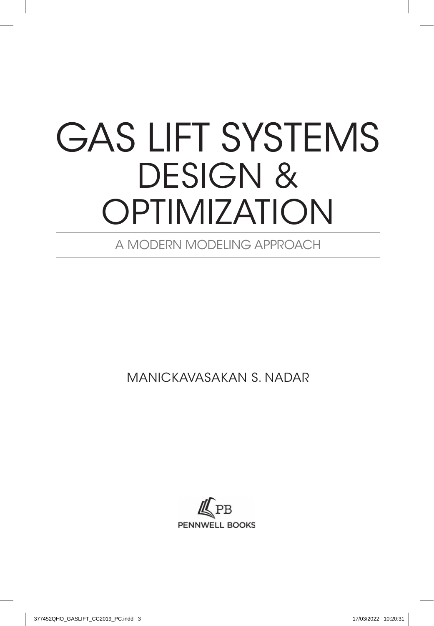## GAS LIFT SYSTEMS DESIGN & OPTIMIZATION

A MODERN MODELING APPROACH

MANICKAVASAKAN S. NADAR

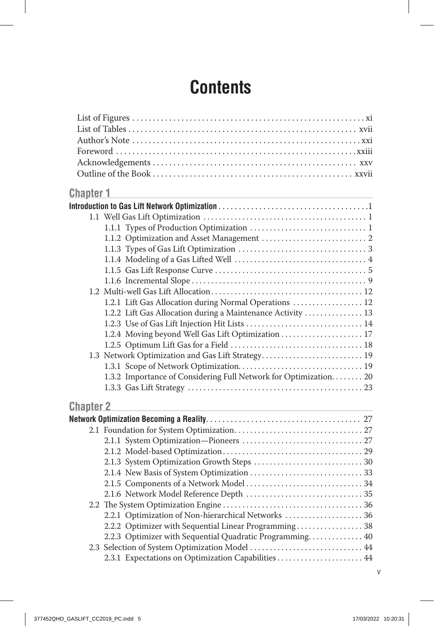## **Contents**

| <b>Chapter 1</b> |                                                                   |  |
|------------------|-------------------------------------------------------------------|--|
|                  |                                                                   |  |
|                  |                                                                   |  |
|                  |                                                                   |  |
|                  |                                                                   |  |
|                  |                                                                   |  |
|                  |                                                                   |  |
|                  |                                                                   |  |
|                  |                                                                   |  |
|                  |                                                                   |  |
|                  | 1.2.1 Lift Gas Allocation during Normal Operations  12            |  |
|                  | 1.2.2 Lift Gas Allocation during a Maintenance Activity  13       |  |
|                  |                                                                   |  |
|                  | 1.2.4 Moving beyond Well Gas Lift Optimization  17                |  |
|                  |                                                                   |  |
|                  | 1.3 Network Optimization and Gas Lift Strategy 19                 |  |
|                  |                                                                   |  |
|                  | 1.3.2 Importance of Considering Full Network for Optimization. 20 |  |
|                  |                                                                   |  |
| <b>Chapter 2</b> |                                                                   |  |
|                  |                                                                   |  |
|                  |                                                                   |  |
|                  |                                                                   |  |
|                  |                                                                   |  |
|                  |                                                                   |  |
|                  |                                                                   |  |
|                  |                                                                   |  |
|                  |                                                                   |  |
|                  |                                                                   |  |
|                  | 2.2.1 Optimization of Non-hierarchical Networks  36               |  |
|                  | 2.2.2 Optimizer with Sequential Linear Programming 38             |  |
|                  | 2.2.3 Optimizer with Sequential Quadratic Programming 40          |  |
|                  | 2.3 Selection of System Optimization Model  44                    |  |
|                  | 2.3.1 Expectations on Optimization Capabilities  44               |  |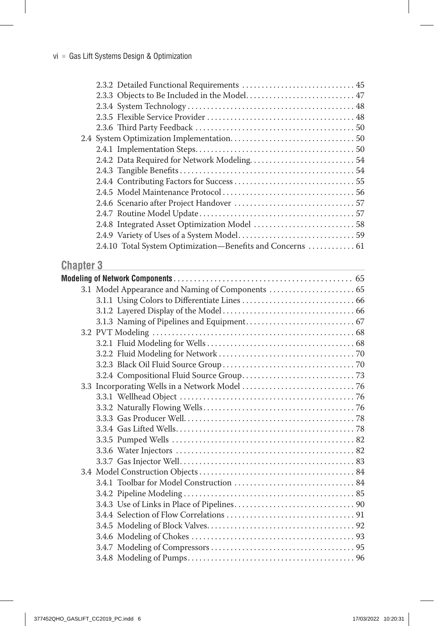| 2.3.2 Detailed Functional Requirements  45                 |  |
|------------------------------------------------------------|--|
|                                                            |  |
| 2.3.3 Objects to Be Included in the Model 47               |  |
|                                                            |  |
|                                                            |  |
|                                                            |  |
|                                                            |  |
|                                                            |  |
|                                                            |  |
|                                                            |  |
|                                                            |  |
|                                                            |  |
|                                                            |  |
|                                                            |  |
|                                                            |  |
|                                                            |  |
| 2.4.10 Total System Optimization-Benefits and Concerns  61 |  |
|                                                            |  |

#### **Chapter 3 Chapter 3**

| 3.1 Model Appearance and Naming of Components  65 |  |
|---------------------------------------------------|--|
|                                                   |  |
|                                                   |  |
|                                                   |  |
|                                                   |  |
|                                                   |  |
|                                                   |  |
|                                                   |  |
|                                                   |  |
|                                                   |  |
|                                                   |  |
|                                                   |  |
|                                                   |  |
|                                                   |  |
|                                                   |  |
|                                                   |  |
|                                                   |  |
|                                                   |  |
|                                                   |  |
|                                                   |  |
|                                                   |  |
|                                                   |  |
|                                                   |  |
|                                                   |  |
|                                                   |  |
|                                                   |  |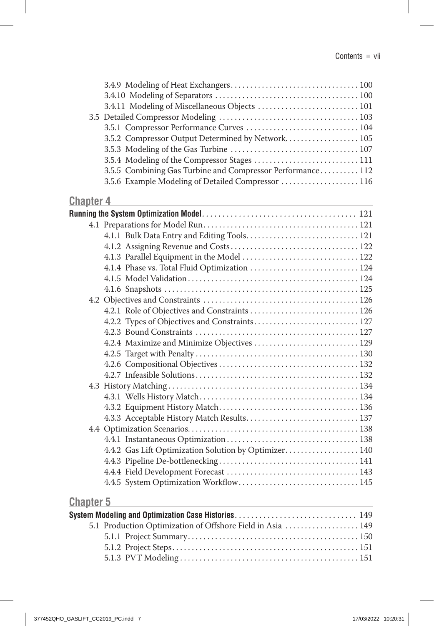|                  | 3.4.11 Modeling of Miscellaneous Objects  101              |  |
|------------------|------------------------------------------------------------|--|
|                  | 3.5.1 Compressor Performance Curves  104                   |  |
|                  | 3.5.2 Compressor Output Determined by Network 105          |  |
|                  |                                                            |  |
|                  |                                                            |  |
|                  | 3.5.5 Combining Gas Turbine and Compressor Performance 112 |  |
|                  | 3.5.6 Example Modeling of Detailed Compressor  116         |  |
| <b>Chapter 4</b> |                                                            |  |
|                  |                                                            |  |
|                  |                                                            |  |
|                  |                                                            |  |
|                  |                                                            |  |
|                  | 4.1.3 Parallel Equipment in the Model  122                 |  |
|                  | 4.1.4 Phase vs. Total Fluid Optimization  124              |  |
|                  |                                                            |  |
|                  |                                                            |  |
|                  |                                                            |  |
|                  |                                                            |  |
|                  |                                                            |  |
|                  |                                                            |  |
|                  | 4.2.4 Maximize and Minimize Objectives  129                |  |
|                  |                                                            |  |
|                  |                                                            |  |
|                  |                                                            |  |
|                  |                                                            |  |
|                  |                                                            |  |
|                  |                                                            |  |
|                  | 4.3.3 Acceptable History Match Results 137                 |  |
|                  |                                                            |  |
|                  |                                                            |  |
|                  | 4.4.2 Gas Lift Optimization Solution by Optimizer 140      |  |
|                  |                                                            |  |
|                  |                                                            |  |
|                  |                                                            |  |
| <b>Chapter 5</b> |                                                            |  |

| System Modeling and Optimization Case Histories 149        |  |
|------------------------------------------------------------|--|
| 5.1 Production Optimization of Offshore Field in Asia  149 |  |
|                                                            |  |
|                                                            |  |
|                                                            |  |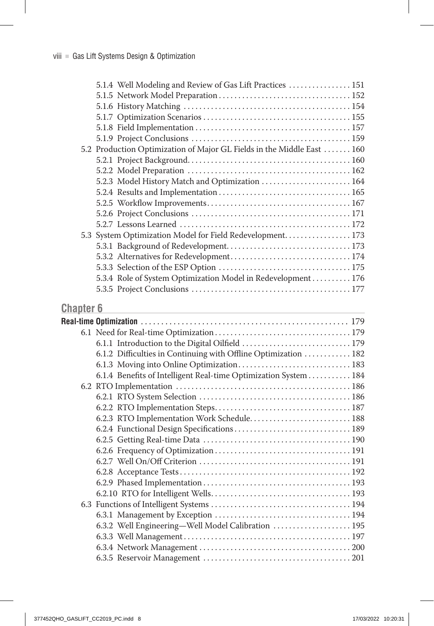|                  | 5.1.4 Well Modeling and Review of Gas Lift Practices  151                                 |  |
|------------------|-------------------------------------------------------------------------------------------|--|
|                  |                                                                                           |  |
|                  |                                                                                           |  |
|                  |                                                                                           |  |
|                  |                                                                                           |  |
|                  |                                                                                           |  |
|                  | 5.2 Production Optimization of Major GL Fields in the Middle East  160                    |  |
|                  |                                                                                           |  |
|                  |                                                                                           |  |
|                  | 5.2.3 Model History Match and Optimization  164                                           |  |
|                  |                                                                                           |  |
|                  |                                                                                           |  |
|                  |                                                                                           |  |
|                  |                                                                                           |  |
|                  | 5.3 System Optimization Model for Field Redevelopment. 173                                |  |
|                  |                                                                                           |  |
|                  |                                                                                           |  |
|                  |                                                                                           |  |
|                  | 5.3.4 Role of System Optimization Model in Redevelopment 176                              |  |
|                  |                                                                                           |  |
| <b>Chapter 6</b> |                                                                                           |  |
|                  | the control of the control of the control of the control of the control of the control of |  |
|                  |                                                                                           |  |
|                  |                                                                                           |  |
|                  | 6.1.2 Difficulties in Continuing with Offline Optimization  182                           |  |
|                  |                                                                                           |  |
|                  | 6.1.4 Benefits of Intelligent Real-time Optimization System 184                           |  |
|                  |                                                                                           |  |
|                  |                                                                                           |  |
|                  |                                                                                           |  |
|                  | 6.2.3 RTO Implementation Work Schedule 188                                                |  |
|                  |                                                                                           |  |
|                  |                                                                                           |  |
|                  |                                                                                           |  |
|                  |                                                                                           |  |
|                  |                                                                                           |  |
|                  |                                                                                           |  |
|                  |                                                                                           |  |
|                  |                                                                                           |  |
|                  |                                                                                           |  |
|                  | 6.3.2 Well Engineering-Well Model Calibration  195                                        |  |
|                  |                                                                                           |  |
|                  |                                                                                           |  |
|                  |                                                                                           |  |
|                  |                                                                                           |  |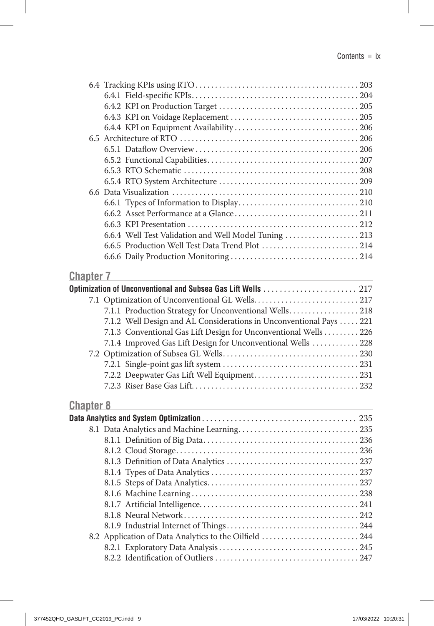|                  | 6.6.4 Well Test Validation and Well Model Tuning  213              |  |
|------------------|--------------------------------------------------------------------|--|
|                  | 6.6.5 Production Well Test Data Trend Plot  214                    |  |
|                  |                                                                    |  |
|                  |                                                                    |  |
| <b>Chapter 7</b> |                                                                    |  |
|                  |                                                                    |  |
|                  |                                                                    |  |
|                  | 7.1.1 Production Strategy for Unconventional Wells 218             |  |
|                  | 7.1.2 Well Design and AL Considerations in Unconventional Pays 221 |  |
|                  | 7.1.3 Conventional Gas Lift Design for Unconventional Wells 226    |  |
|                  | 7.1.4 Improved Gas Lift Design for Unconventional Wells  228       |  |
|                  |                                                                    |  |
|                  |                                                                    |  |
|                  |                                                                    |  |
|                  |                                                                    |  |
|                  |                                                                    |  |
| <b>Chapter 8</b> |                                                                    |  |
|                  |                                                                    |  |
|                  |                                                                    |  |
|                  |                                                                    |  |
|                  |                                                                    |  |
|                  |                                                                    |  |
|                  |                                                                    |  |
|                  |                                                                    |  |
|                  |                                                                    |  |
|                  |                                                                    |  |
|                  |                                                                    |  |
|                  |                                                                    |  |
|                  | 8.2 Application of Data Analytics to the Oilfield  244             |  |
|                  |                                                                    |  |
|                  |                                                                    |  |
|                  |                                                                    |  |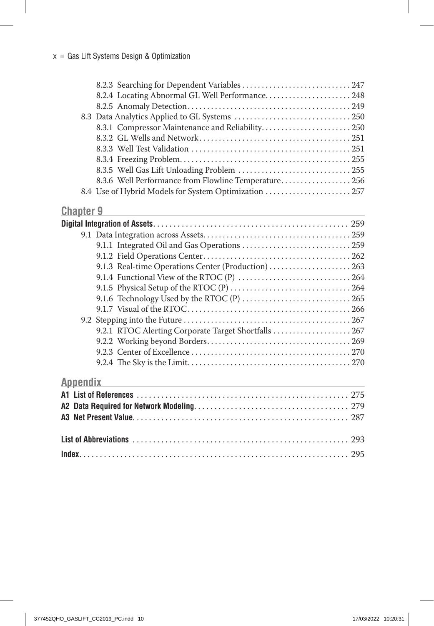|                  | 8.2.3 Searching for Dependent Variables  247                                              |  |
|------------------|-------------------------------------------------------------------------------------------|--|
|                  | 8.2.4 Locating Abnormal GL Well Performance 248                                           |  |
|                  |                                                                                           |  |
|                  |                                                                                           |  |
|                  | 8.3.1 Compressor Maintenance and Reliability 250                                          |  |
|                  |                                                                                           |  |
|                  |                                                                                           |  |
|                  |                                                                                           |  |
|                  |                                                                                           |  |
|                  | 8.3.6 Well Performance from Flowline Temperature 256                                      |  |
|                  | 8.4 Use of Hybrid Models for System Optimization  257                                     |  |
| <b>Chapter 9</b> |                                                                                           |  |
|                  |                                                                                           |  |
|                  |                                                                                           |  |
|                  |                                                                                           |  |
|                  |                                                                                           |  |
|                  | 9.1.3 Real-time Operations Center (Production)  263                                       |  |
|                  |                                                                                           |  |
|                  |                                                                                           |  |
|                  |                                                                                           |  |
|                  |                                                                                           |  |
|                  |                                                                                           |  |
|                  | 9.2.1 RTOC Alerting Corporate Target Shortfalls  267                                      |  |
|                  |                                                                                           |  |
|                  |                                                                                           |  |
|                  |                                                                                           |  |
| <b>Appendix</b>  | the control of the control of the control of the control of the control of the control of |  |
|                  |                                                                                           |  |
|                  |                                                                                           |  |
|                  |                                                                                           |  |
|                  |                                                                                           |  |
|                  |                                                                                           |  |
|                  |                                                                                           |  |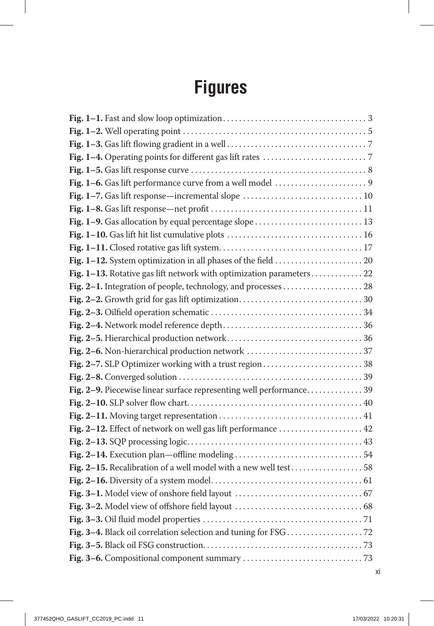## **Figures**

| Fig. 1-7. Gas lift response—incremental slope  10                    |  |
|----------------------------------------------------------------------|--|
|                                                                      |  |
| Fig. 1-9. Gas allocation by equal percentage slope  13               |  |
|                                                                      |  |
|                                                                      |  |
|                                                                      |  |
| Fig. 1-13. Rotative gas lift network with optimization parameters 22 |  |
|                                                                      |  |
|                                                                      |  |
|                                                                      |  |
|                                                                      |  |
|                                                                      |  |
|                                                                      |  |
|                                                                      |  |
|                                                                      |  |
| Fig. 2-9. Piecewise linear surface representing well performance 39  |  |
|                                                                      |  |
|                                                                      |  |
|                                                                      |  |
|                                                                      |  |
|                                                                      |  |
| Fig. 2-15. Recalibration of a well model with a new well test58      |  |
|                                                                      |  |
|                                                                      |  |
|                                                                      |  |
|                                                                      |  |
|                                                                      |  |
|                                                                      |  |
|                                                                      |  |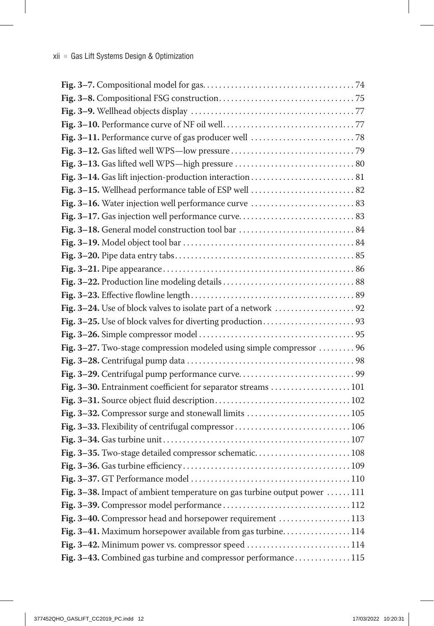| Fig. 3-27. Two-stage compression modeled using simple compressor  96      |  |
|---------------------------------------------------------------------------|--|
|                                                                           |  |
|                                                                           |  |
| Fig. 3-30. Entrainment coefficient for separator streams  101             |  |
|                                                                           |  |
| Fig. 3-32. Compressor surge and stonewall limits  105                     |  |
| Fig. 3-33. Flexibility of centrifugal compressor 106                      |  |
|                                                                           |  |
| Fig. 3-35. Two-stage detailed compressor schematic 108                    |  |
|                                                                           |  |
|                                                                           |  |
| Fig. 3–38. Impact of ambient temperature on gas turbine output power  111 |  |
|                                                                           |  |
| Fig. 3-40. Compressor head and horsepower requirement  113                |  |
| Fig. 3-41. Maximum horsepower available from gas turbine 114              |  |
| Fig. 3-42. Minimum power vs. compressor speed  114                        |  |
| Fig. 3-43. Combined gas turbine and compressor performance 115            |  |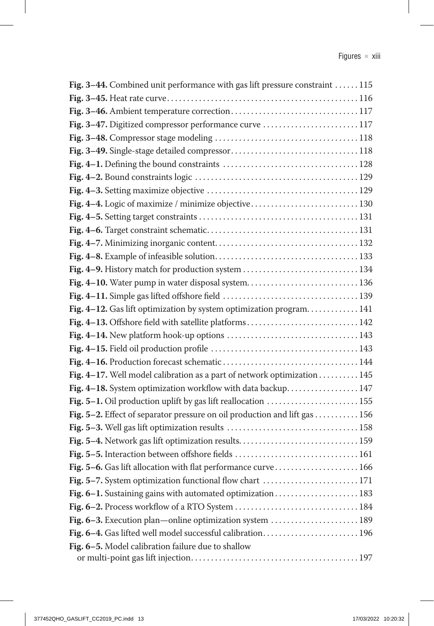| Fig. 3–44. Combined unit performance with gas lift pressure constraint  115 |
|-----------------------------------------------------------------------------|
|                                                                             |
|                                                                             |
| Fig. 3-47. Digitized compressor performance curve  117                      |
|                                                                             |
|                                                                             |
|                                                                             |
|                                                                             |
|                                                                             |
| Fig. 4-4. Logic of maximize / minimize objective 130                        |
|                                                                             |
|                                                                             |
|                                                                             |
|                                                                             |
| Fig. 4-9. History match for production system  134                          |
| Fig. 4-10. Water pump in water disposal system 136                          |
|                                                                             |
| Fig. 4-12. Gas lift optimization by system optimization program. 141        |
| Fig. 4-13. Offshore field with satellite platforms 142                      |
|                                                                             |
|                                                                             |
|                                                                             |
| Fig. 4-17. Well model calibration as a part of network optimization 145     |
| Fig. 4-18. System optimization workflow with data backup 147                |
| Fig. 5-1. Oil production uplift by gas lift reallocation  155               |
| Fig. 5-2. Effect of separator pressure on oil production and lift gas 156   |
|                                                                             |
| Fig. 5-4. Network gas lift optimization results 159                         |
| Fig. 5-5. Interaction between offshore fields  161                          |
| Fig. 5-6. Gas lift allocation with flat performance curve 166               |
| Fig. 5-7. System optimization functional flow chart  171                    |
| Fig. 6-1. Sustaining gains with automated optimization 183                  |
|                                                                             |
| Fig. 6-3. Execution plan—online optimization system  189                    |
| Fig. 6-4. Gas lifted well model successful calibration 196                  |
| Fig. 6-5. Model calibration failure due to shallow                          |
|                                                                             |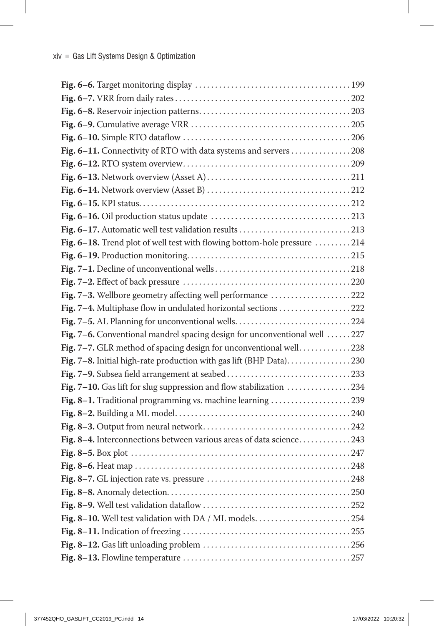| Fig. 6-11. Connectivity of RTO with data systems and servers  208          |  |
|----------------------------------------------------------------------------|--|
|                                                                            |  |
|                                                                            |  |
|                                                                            |  |
|                                                                            |  |
|                                                                            |  |
| Fig. 6-17. Automatic well test validation results 213                      |  |
| Fig. 6-18. Trend plot of well test with flowing bottom-hole pressure 214   |  |
|                                                                            |  |
|                                                                            |  |
|                                                                            |  |
| Fig. 7-3. Wellbore geometry affecting well performance 222                 |  |
| Fig. 7-4. Multiphase flow in undulated horizontal sections 222             |  |
|                                                                            |  |
| Fig. 7-6. Conventional mandrel spacing design for unconventional well  227 |  |
| Fig. 7-7. GLR method of spacing design for unconventional well. 228        |  |
| Fig. 7-8. Initial high-rate production with gas lift (BHP Data)230         |  |
|                                                                            |  |
| Fig. 7-10. Gas lift for slug suppression and flow stabilization 234        |  |
| Fig. 8-1. Traditional programming vs. machine learning 239                 |  |
|                                                                            |  |
|                                                                            |  |
| Fig. 8-4. Interconnections between various areas of data science243        |  |
|                                                                            |  |
|                                                                            |  |
|                                                                            |  |
|                                                                            |  |
|                                                                            |  |
| Fig. 8-10. Well test validation with DA / ML models254                     |  |
|                                                                            |  |
|                                                                            |  |
|                                                                            |  |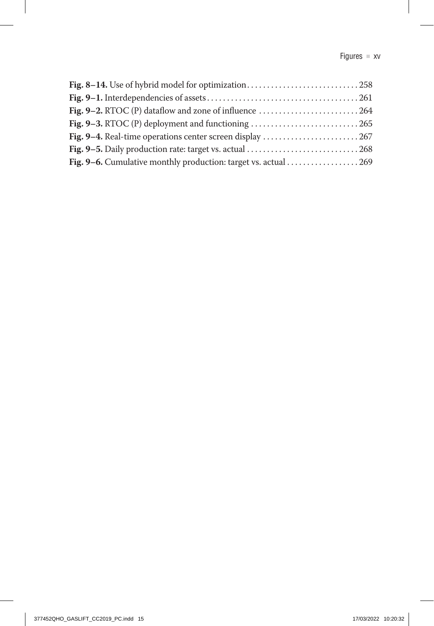| Fig. 8-14. Use of hybrid model for optimization258        |  |
|-----------------------------------------------------------|--|
|                                                           |  |
|                                                           |  |
|                                                           |  |
| Fig. 9-4. Real-time operations center screen display  267 |  |
|                                                           |  |
|                                                           |  |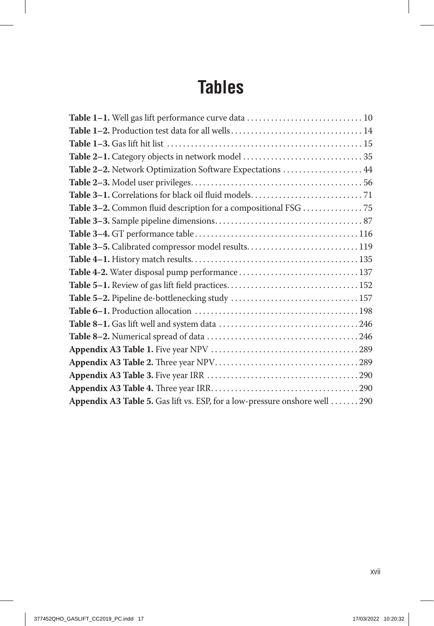## **Tables**

| Table 2-2. Network Optimization Software Expectations  44                   |  |
|-----------------------------------------------------------------------------|--|
|                                                                             |  |
|                                                                             |  |
| Table 3-2. Common fluid description for a compositional FSG 75              |  |
|                                                                             |  |
|                                                                             |  |
|                                                                             |  |
|                                                                             |  |
|                                                                             |  |
|                                                                             |  |
|                                                                             |  |
|                                                                             |  |
|                                                                             |  |
|                                                                             |  |
|                                                                             |  |
|                                                                             |  |
|                                                                             |  |
|                                                                             |  |
| Appendix A3 Table 5. Gas lift vs. ESP, for a low-pressure onshore well  290 |  |
|                                                                             |  |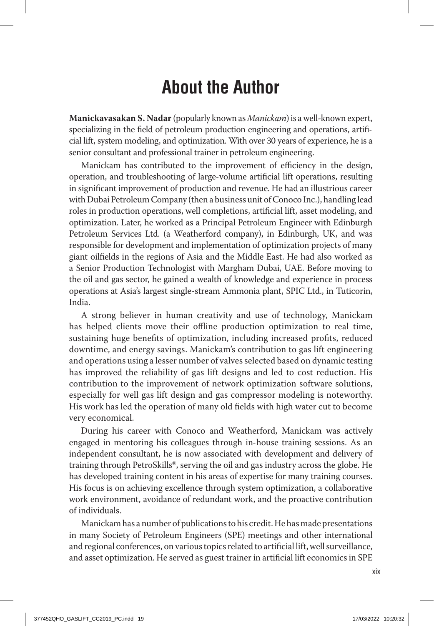## **About the Author**

**Manickavasakan S. Nadar** (popularly known as *Manickam*) is a well-known expert, specializing in the field of petroleum production engineering and operations, artificial lift, system modeling, and optimization. With over 30 years of experience, he is a senior consultant and professional trainer in petroleum engineering.

Manickam has contributed to the improvement of efficiency in the design, operation, and troubleshooting of large-volume artificial lift operations, resulting in significant improvement of production and revenue. He had an illustrious career with Dubai Petroleum Company (then a business unit of Conoco Inc.), handling lead roles in production operations, well completions, artificial lift, asset modeling, and optimization. Later, he worked as a Principal Petroleum Engineer with Edinburgh Petroleum Services Ltd. (a Weatherford company), in Edinburgh, UK, and was responsible for development and implementation of optimization projects of many giant oilfields in the regions of Asia and the Middle East. He had also worked as a Senior Production Technologist with Margham Dubai, UAE. Before moving to the oil and gas sector, he gained a wealth of knowledge and experience in process operations at Asia's largest single-stream Ammonia plant, SPIC Ltd., in Tuticorin, India.

A strong believer in human creativity and use of technology, Manickam has helped clients move their offline production optimization to real time, sustaining huge benefits of optimization, including increased profits, reduced downtime, and energy savings. Manickam's contribution to gas lift engineering and operations using a lesser number of valves selected based on dynamic testing has improved the reliability of gas lift designs and led to cost reduction. His contribution to the improvement of network optimization software solutions, especially for well gas lift design and gas compressor modeling is noteworthy. His work has led the operation of many old fields with high water cut to become very economical.

During his career with Conoco and Weatherford, Manickam was actively engaged in mentoring his colleagues through in-house training sessions. As an independent consultant, he is now associated with development and delivery of training through PetroSkills®, serving the oil and gas industry across the globe. He has developed training content in his areas of expertise for many training courses. His focus is on achieving excellence through system optimization, a collaborative work environment, avoidance of redundant work, and the proactive contribution of individuals.

Manickam has a number of publications to his credit. He has made presentations in many Society of Petroleum Engineers (SPE) meetings and other international and regional conferences, on various topics related to artificial lift, well surveillance, and asset optimization. He served as guest trainer in artificial lift economics in SPE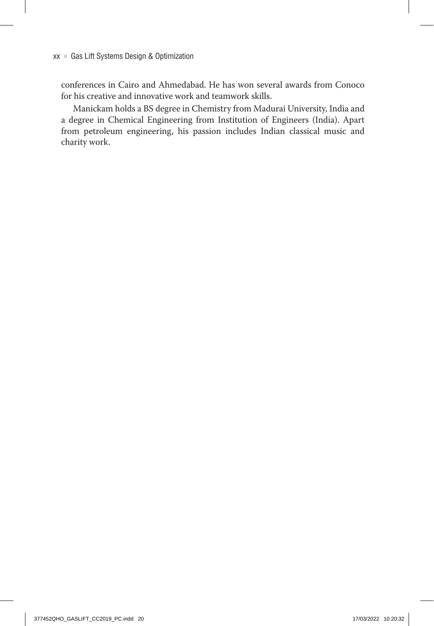conferences in Cairo and Ahmedabad. He has won several awards from Conoco for his creative and innovative work and teamwork skills.

Manickam holds a BS degree in Chemistry from Madurai University, India and a degree in Chemical Engineering from Institution of Engineers (India). Apart from petroleum engineering, his passion includes Indian classical music and charity work.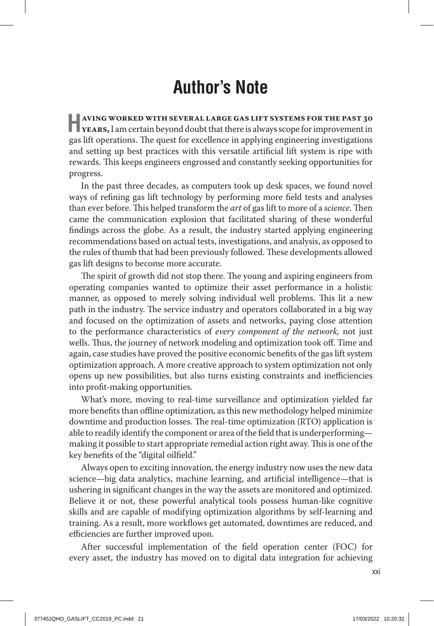## **Author's Note**

**HAVING WORKED WITH SEVERAL LARGE GAS LIFT SYSTEMS FOR THE PAST 30 <b>YEARS**, I am certain beyond doubt that there is always scope for improvement in gas lift operations. The quest for excellence in applying engineering investigations and setting up best practices with this versatile artificial lift system is ripe with rewards. This keeps engineers engrossed and constantly seeking opportunities for progress.

In the past three decades, as computers took up desk spaces, we found novel ways of refining gas lift technology by performing more field tests and analyses than ever before. This helped transform the *art* of gas lift to more of a *science*. Then came the communication explosion that facilitated sharing of these wonderful findings across the globe. As a result, the industry started applying engineering recommendations based on actual tests, investigations, and analysis, as opposed to the rules of thumb that had been previously followed. These developments allowed gas lift designs to become more accurate.

The spirit of growth did not stop there. The young and aspiring engineers from operating companies wanted to optimize their asset performance in a holistic manner, as opposed to merely solving individual well problems. This lit a new path in the industry. The service industry and operators collaborated in a big way and focused on the optimization of assets and networks, paying close attention to the performance characteristics of *every component of the network,* not just wells. Thus, the journey of network modeling and optimization took off. Time and again, case studies have proved the positive economic benefits of the gas lift system optimization approach. A more creative approach to system optimization not only opens up new possibilities, but also turns existing constraints and inefficiencies into profit-making opportunities.

What's more, moving to real-time surveillance and optimization yielded far more benefits than offline optimization, as this new methodology helped minimize downtime and production losses. The real-time optimization (RTO) application is able to readily identify the component or area of the field that is underperforming making it possible to start appropriate remedial action right away. This is one of the key benefits of the "digital oilfield."

Always open to exciting innovation, the energy industry now uses the new data science—big data analytics, machine learning, and artificial intelligence—that is ushering in significant changes in the way the assets are monitored and optimized. Believe it or not, these powerful analytical tools possess human-like cognitive skills and are capable of modifying optimization algorithms by self-learning and training. As a result, more workflows get automated, downtimes are reduced, and efficiencies are further improved upon.

After successful implementation of the field operation center (FOC) for every asset, the industry has moved on to digital data integration for achieving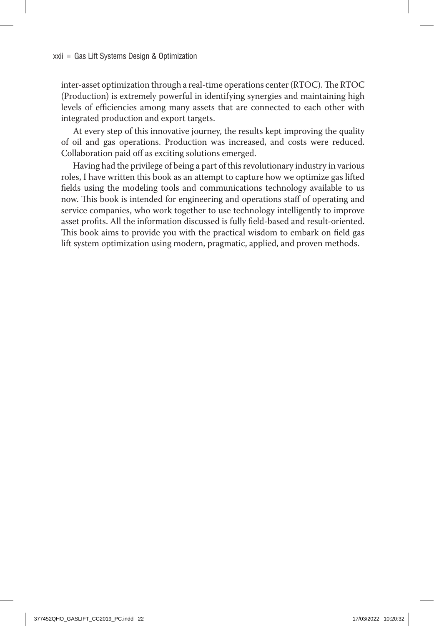inter-asset optimization through a real-time operations center (RTOC). The RTOC (Production) is extremely powerful in identifying synergies and maintaining high levels of efficiencies among many assets that are connected to each other with integrated production and export targets.

At every step of this innovative journey, the results kept improving the quality of oil and gas operations. Production was increased, and costs were reduced. Collaboration paid off as exciting solutions emerged.

Having had the privilege of being a part of this revolutionary industry in various roles, I have written this book as an attempt to capture how we optimize gas lifted fields using the modeling tools and communications technology available to us now. This book is intended for engineering and operations staff of operating and service companies, who work together to use technology intelligently to improve asset profits. All the information discussed is fully field-based and result-oriented. This book aims to provide you with the practical wisdom to embark on field gas lift system optimization using modern, pragmatic, applied, and proven methods.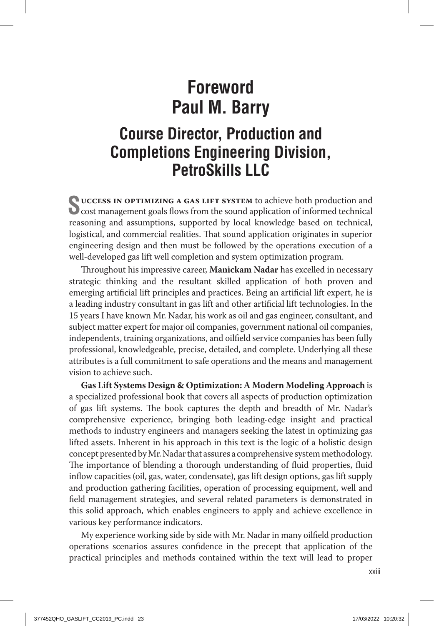## **Foreword Paul M. Barry**

### **Course Director, Production and Completions Engineering Division, PetroSkills LLC**

**Success in optimizing a gas lift system** to achieve both production and  $\bullet$  cost management goals flows from the sound application of informed technical reasoning and assumptions, supported by local knowledge based on technical, logistical, and commercial realities. That sound application originates in superior engineering design and then must be followed by the operations execution of a well-developed gas lift well completion and system optimization program.

Throughout his impressive career, **Manickam Nadar** has excelled in necessary strategic thinking and the resultant skilled application of both proven and emerging artificial lift principles and practices. Being an artificial lift expert, he is a leading industry consultant in gas lift and other artificial lift technologies. In the 15 years I have known Mr. Nadar, his work as oil and gas engineer, consultant, and subject matter expert for major oil companies, government national oil companies, independents, training organizations, and oilfield service companies has been fully professional, knowledgeable, precise, detailed, and complete. Underlying all these attributes is a full commitment to safe operations and the means and management vision to achieve such.

**Gas Lift Systems Design & Optimization: A Modern Modeling Approach** is a specialized professional book that covers all aspects of production optimization of gas lift systems. The book captures the depth and breadth of Mr. Nadar's comprehensive experience, bringing both leading-edge insight and practical methods to industry engineers and managers seeking the latest in optimizing gas lifted assets. Inherent in his approach in this text is the logic of a holistic design concept presented by Mr. Nadar that assures a comprehensive system methodology. The importance of blending a thorough understanding of fluid properties, fluid inflow capacities (oil, gas, water, condensate), gas lift design options, gas lift supply and production gathering facilities, operation of processing equipment, well and field management strategies, and several related parameters is demonstrated in this solid approach, which enables engineers to apply and achieve excellence in various key performance indicators.

My experience working side by side with Mr. Nadar in many oilfield production operations scenarios assures confidence in the precept that application of the practical principles and methods contained within the text will lead to proper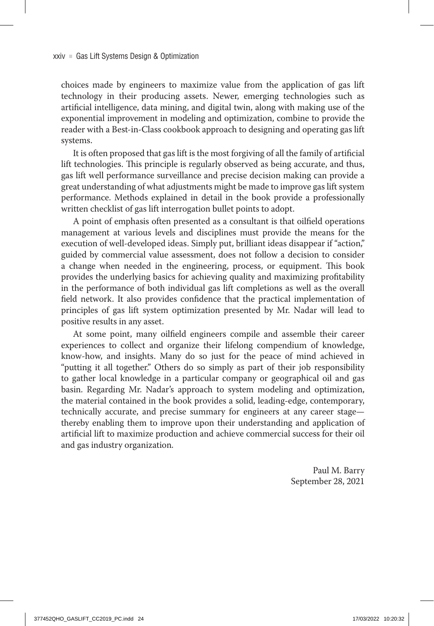choices made by engineers to maximize value from the application of gas lift technology in their producing assets. Newer, emerging technologies such as artificial intelligence, data mining, and digital twin, along with making use of the exponential improvement in modeling and optimization, combine to provide the reader with a Best-in-Class cookbook approach to designing and operating gas lift systems.

It is often proposed that gas lift is the most forgiving of all the family of artificial lift technologies. This principle is regularly observed as being accurate, and thus, gas lift well performance surveillance and precise decision making can provide a great understanding of what adjustments might be made to improve gas lift system performance. Methods explained in detail in the book provide a professionally written checklist of gas lift interrogation bullet points to adopt.

A point of emphasis often presented as a consultant is that oilfield operations management at various levels and disciplines must provide the means for the execution of well-developed ideas. Simply put, brilliant ideas disappear if "action," guided by commercial value assessment, does not follow a decision to consider a change when needed in the engineering, process, or equipment. This book provides the underlying basics for achieving quality and maximizing profitability in the performance of both individual gas lift completions as well as the overall field network. It also provides confidence that the practical implementation of principles of gas lift system optimization presented by Mr. Nadar will lead to positive results in any asset.

At some point, many oilfield engineers compile and assemble their career experiences to collect and organize their lifelong compendium of knowledge, know-how, and insights. Many do so just for the peace of mind achieved in "putting it all together." Others do so simply as part of their job responsibility to gather local knowledge in a particular company or geographical oil and gas basin. Regarding Mr. Nadar's approach to system modeling and optimization, the material contained in the book provides a solid, leading-edge, contemporary, technically accurate, and precise summary for engineers at any career stage thereby enabling them to improve upon their understanding and application of artificial lift to maximize production and achieve commercial success for their oil and gas industry organization.

> Paul M. Barry September 28, 2021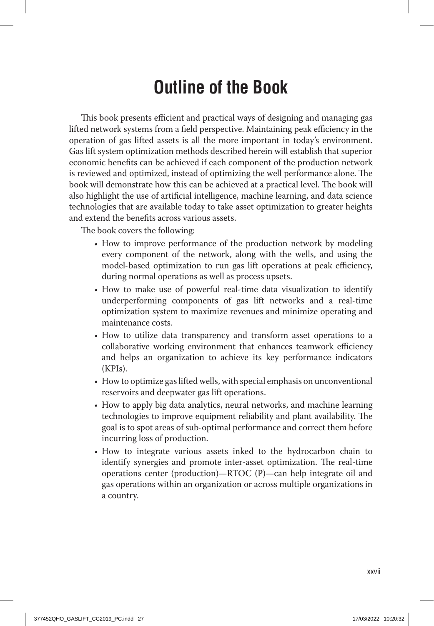## **Outline of the Book**

This book presents efficient and practical ways of designing and managing gas lifted network systems from a field perspective. Maintaining peak efficiency in the operation of gas lifted assets is all the more important in today's environment. Gas lift system optimization methods described herein will establish that superior economic benefits can be achieved if each component of the production network is reviewed and optimized, instead of optimizing the well performance alone. The book will demonstrate how this can be achieved at a practical level. The book will also highlight the use of artificial intelligence, machine learning, and data science technologies that are available today to take asset optimization to greater heights and extend the benefits across various assets.

The book covers the following:

- How to improve performance of the production network by modeling every component of the network, along with the wells, and using the model-based optimization to run gas lift operations at peak efficiency, during normal operations as well as process upsets.
- How to make use of powerful real-time data visualization to identify underperforming components of gas lift networks and a real-time optimization system to maximize revenues and minimize operating and maintenance costs.
- How to utilize data transparency and transform asset operations to a collaborative working environment that enhances teamwork efficiency and helps an organization to achieve its key performance indicators (KPIs).
- How to optimize gas lifted wells, with special emphasis on unconventional reservoirs and deepwater gas lift operations.
- How to apply big data analytics, neural networks, and machine learning technologies to improve equipment reliability and plant availability. The goal is to spot areas of sub-optimal performance and correct them before incurring loss of production.
- How to integrate various assets inked to the hydrocarbon chain to identify synergies and promote inter-asset optimization. The real-time operations center (production)—RTOC (P)—can help integrate oil and gas operations within an organization or across multiple organizations in a country.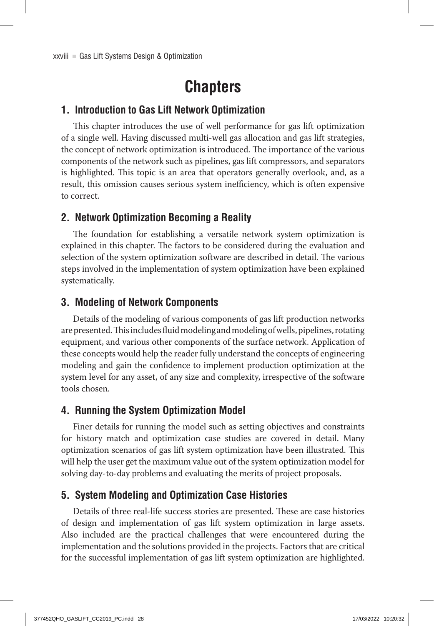## **Chapters**

#### **1. Introduction to Gas Lift Network Optimization**

This chapter introduces the use of well performance for gas lift optimization of a single well. Having discussed multi-well gas allocation and gas lift strategies, the concept of network optimization is introduced. The importance of the various components of the network such as pipelines, gas lift compressors, and separators is highlighted. This topic is an area that operators generally overlook, and, as a result, this omission causes serious system inefficiency, which is often expensive to correct.

#### **2. Network Optimization Becoming a Reality**

The foundation for establishing a versatile network system optimization is explained in this chapter. The factors to be considered during the evaluation and selection of the system optimization software are described in detail. The various steps involved in the implementation of system optimization have been explained systematically.

#### **3. Modeling of Network Components**

Details of the modeling of various components of gas lift production networks are presented. This includes fluid modeling and modeling of wells, pipelines, rotating equipment, and various other components of the surface network. Application of these concepts would help the reader fully understand the concepts of engineering modeling and gain the confidence to implement production optimization at the system level for any asset, of any size and complexity, irrespective of the software tools chosen.

#### **4. Running the System Optimization Model**

Finer details for running the model such as setting objectives and constraints for history match and optimization case studies are covered in detail. Many optimization scenarios of gas lift system optimization have been illustrated. This will help the user get the maximum value out of the system optimization model for solving day-to-day problems and evaluating the merits of project proposals.

#### **5. System Modeling and Optimization Case Histories**

Details of three real-life success stories are presented. These are case histories of design and implementation of gas lift system optimization in large assets. Also included are the practical challenges that were encountered during the implementation and the solutions provided in the projects. Factors that are critical for the successful implementation of gas lift system optimization are highlighted.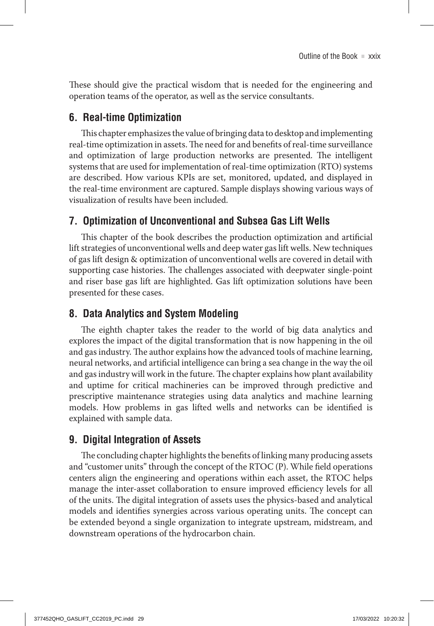These should give the practical wisdom that is needed for the engineering and operation teams of the operator, as well as the service consultants.

#### **6. Real-time Optimization**

This chapter emphasizes the value of bringing data to desktop and implementing real-time optimization in assets. The need for and benefits of real-time surveillance and optimization of large production networks are presented. The intelligent systems that are used for implementation of real-time optimization (RTO) systems are described. How various KPIs are set, monitored, updated, and displayed in the real-time environment are captured. Sample displays showing various ways of visualization of results have been included.

#### **7. Optimization of Unconventional and Subsea Gas Lift Wells**

This chapter of the book describes the production optimization and artificial lift strategies of unconventional wells and deep water gas lift wells. New techniques of gas lift design & optimization of unconventional wells are covered in detail with supporting case histories. The challenges associated with deepwater single-point and riser base gas lift are highlighted. Gas lift optimization solutions have been presented for these cases.

#### **8. Data Analytics and System Modeling**

The eighth chapter takes the reader to the world of big data analytics and explores the impact of the digital transformation that is now happening in the oil and gas industry. The author explains how the advanced tools of machine learning, neural networks, and artificial intelligence can bring a sea change in the way the oil and gas industry will work in the future. The chapter explains how plant availability and uptime for critical machineries can be improved through predictive and prescriptive maintenance strategies using data analytics and machine learning models. How problems in gas lifted wells and networks can be identified is explained with sample data.

#### **9. Digital Integration of Assets**

The concluding chapter highlights the benefits of linking many producing assets and "customer units" through the concept of the RTOC (P). While field operations centers align the engineering and operations within each asset, the RTOC helps manage the inter-asset collaboration to ensure improved efficiency levels for all of the units. The digital integration of assets uses the physics-based and analytical models and identifies synergies across various operating units. The concept can be extended beyond a single organization to integrate upstream, midstream, and downstream operations of the hydrocarbon chain.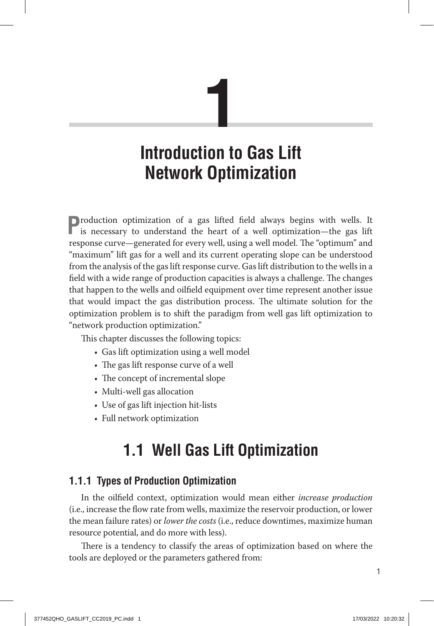# **1**

## **Introduction to Gas Lift Network Optimization**

**P**roduction optimization of a gas lifted field always begins with wells. It is necessary to understand the heart of a well optimization—the gas lift response curve—generated for every well, using a well model. The "optimum" and "maximum" lift gas for a well and its current operating slope can be understood from the analysis of the gas lift response curve. Gas lift distribution to the wells in a field with a wide range of production capacities is always a challenge. The changes that happen to the wells and oilfield equipment over time represent another issue that would impact the gas distribution process. The ultimate solution for the optimization problem is to shift the paradigm from well gas lift optimization to "network production optimization."

This chapter discusses the following topics:

- Gas lift optimization using a well model
- The gas lift response curve of a well
- The concept of incremental slope
- Multi-well gas allocation
- Use of gas lift injection hit-lists
- Full network optimization

## **1.1 Well Gas Lift Optimization**

#### **1.1.1 Types of Production Optimization**

In the oilfield context, optimization would mean either *increase production* (i.e., increase the flow rate from wells, maximize the reservoir production, or lower the mean failure rates) or *lower the costs* (i.e., reduce downtimes, maximize human resource potential, and do more with less).

There is a tendency to classify the areas of optimization based on where the tools are deployed or the parameters gathered from: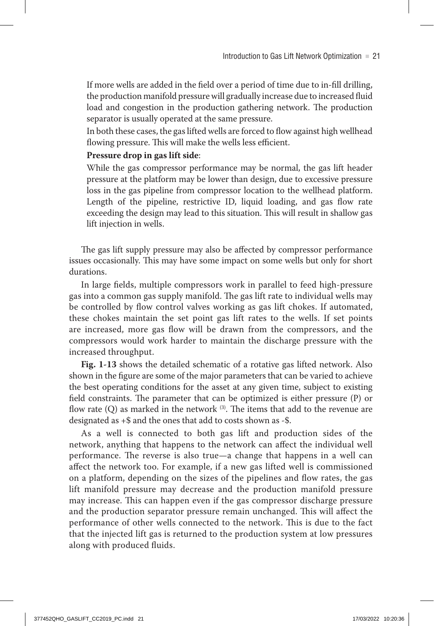If more wells are added in the field over a period of time due to in-fill drilling, the production manifold pressure will gradually increase due to increased fluid load and congestion in the production gathering network. The production separator is usually operated at the same pressure.

In both these cases, the gas lifted wells are forced to flow against high wellhead flowing pressure. This will make the wells less efficient.

#### **Pressure drop in gas lift side**:

While the gas compressor performance may be normal, the gas lift header pressure at the platform may be lower than design, due to excessive pressure loss in the gas pipeline from compressor location to the wellhead platform. Length of the pipeline, restrictive ID, liquid loading, and gas flow rate exceeding the design may lead to this situation. This will result in shallow gas lift injection in wells.

The gas lift supply pressure may also be affected by compressor performance issues occasionally. This may have some impact on some wells but only for short durations.

In large fields, multiple compressors work in parallel to feed high-pressure gas into a common gas supply manifold. The gas lift rate to individual wells may be controlled by flow control valves working as gas lift chokes. If automated, these chokes maintain the set point gas lift rates to the wells. If set points are increased, more gas flow will be drawn from the compressors, and the compressors would work harder to maintain the discharge pressure with the increased throughput.

**Fig. 1‑13** shows the detailed schematic of a rotative gas lifted network. Also shown in the figure are some of the major parameters that can be varied to achieve the best operating conditions for the asset at any given time, subject to existing field constraints. The parameter that can be optimized is either pressure (P) or flow rate  $(Q)$  as marked in the network  $(3)$ . The items that add to the revenue are designated as +\$ and the ones that add to costs shown as -\$.

As a well is connected to both gas lift and production sides of the network, anything that happens to the network can affect the individual well performance. The reverse is also true—a change that happens in a well can affect the network too. For example, if a new gas lifted well is commissioned on a platform, depending on the sizes of the pipelines and flow rates, the gas lift manifold pressure may decrease and the production manifold pressure may increase. This can happen even if the gas compressor discharge pressure and the production separator pressure remain unchanged. This will affect the performance of other wells connected to the network. This is due to the fact that the injected lift gas is returned to the production system at low pressures along with produced fluids.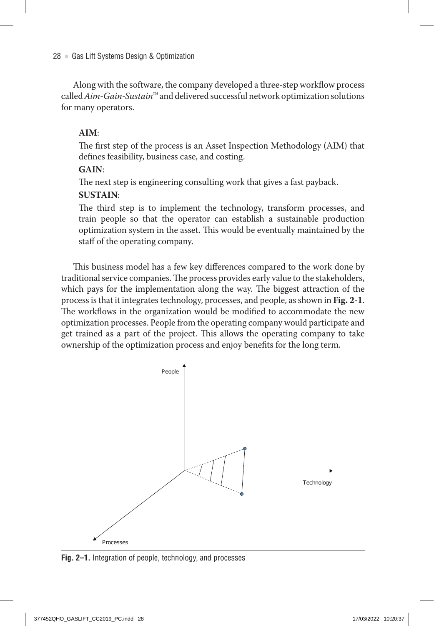Along with the software, the company developed a three-step workflow process called *Aim-Gain-Sustain*™ and delivered successful network optimization solutions for many operators.

#### **AIM**:

The first step of the process is an Asset Inspection Methodology (AIM) that defines feasibility, business case, and costing.

#### **GAIN**:

The next step is engineering consulting work that gives a fast payback.

#### **SUSTAIN**:

The third step is to implement the technology, transform processes, and train people so that the operator can establish a sustainable production optimization system in the asset. This would be eventually maintained by the staff of the operating company.

This business model has a few key differences compared to the work done by traditional service companies. The process provides early value to the stakeholders, which pays for the implementation along the way. The biggest attraction of the process is that it integrates technology, processes, and people, as shown in **Fig. 2‑1**. The workflows in the organization would be modified to accommodate the new optimization processes. People from the operating company would participate and get trained as a part of the project. This allows the operating company to take ownership of the optimization process and enjoy benefits for the long term.



**Fig. 2–1.** Integration of people, technology, and processes